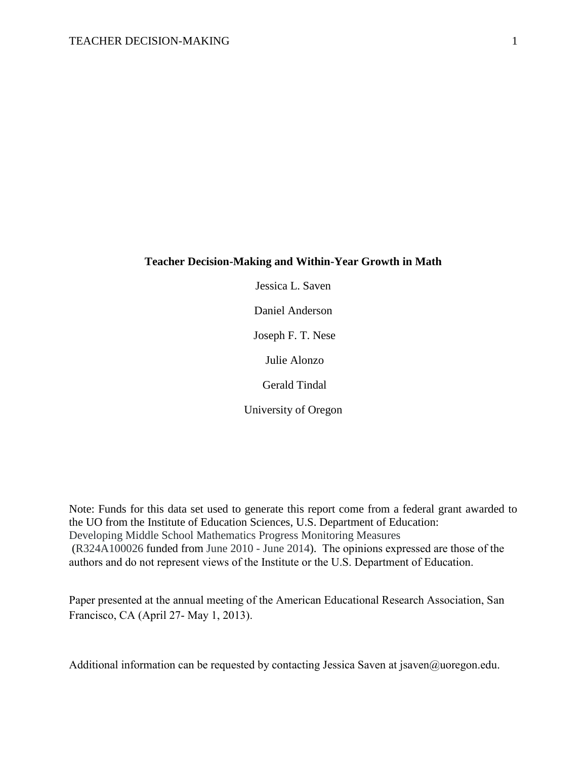#### **Teacher Decision-Making and Within-Year Growth in Math**

Jessica L. Saven

Daniel Anderson

Joseph F. T. Nese

Julie Alonzo

Gerald Tindal

University of Oregon

Note: Funds for this data set used to generate this report come from a federal grant awarded to the UO from the Institute of Education Sciences, U.S. Department of Education: Developing Middle School Mathematics Progress Monitoring Measures (R324A100026 funded from June 2010 - June 2014). The opinions expressed are those of the authors and do not represent views of the Institute or the U.S. Department of Education.

Paper presented at the annual meeting of the American Educational Research Association, San Francisco, CA (April 27- May 1, 2013).

Additional information can be requested by contacting Jessica Saven at jsaven@uoregon.edu.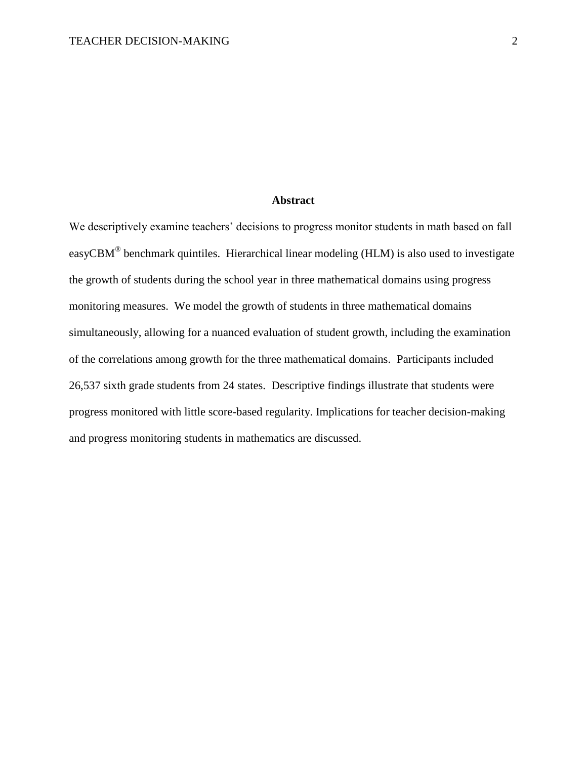### **Abstract**

We descriptively examine teachers' decisions to progress monitor students in math based on fall easyCBM<sup>®</sup> benchmark quintiles. Hierarchical linear modeling (HLM) is also used to investigate the growth of students during the school year in three mathematical domains using progress monitoring measures. We model the growth of students in three mathematical domains simultaneously, allowing for a nuanced evaluation of student growth, including the examination of the correlations among growth for the three mathematical domains. Participants included 26,537 sixth grade students from 24 states. Descriptive findings illustrate that students were progress monitored with little score-based regularity. Implications for teacher decision-making and progress monitoring students in mathematics are discussed.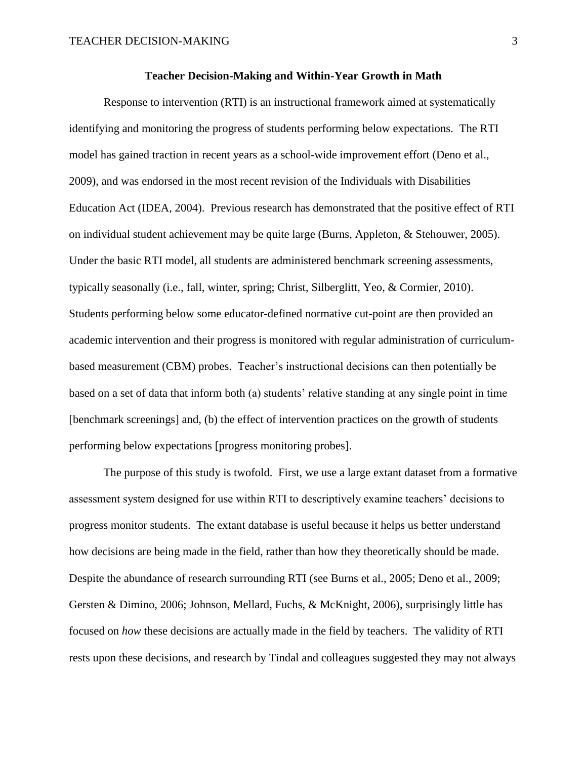#### **Teacher Decision-Making and Within-Year Growth in Math**

Response to intervention (RTI) is an instructional framework aimed at systematically identifying and monitoring the progress of students performing below expectations. The RTI model has gained traction in recent years as a school-wide improvement effort (Deno et al., 2009), and was endorsed in the most recent revision of the Individuals with Disabilities Education Act (IDEA, 2004). Previous research has demonstrated that the positive effect of RTI on individual student achievement may be quite large (Burns, Appleton, & Stehouwer, 2005). Under the basic RTI model, all students are administered benchmark screening assessments, typically seasonally (i.e., fall, winter, spring; Christ, Silberglitt, Yeo, & Cormier, 2010). Students performing below some educator-defined normative cut-point are then provided an academic intervention and their progress is monitored with regular administration of curriculumbased measurement (CBM) probes. Teacher's instructional decisions can then potentially be based on a set of data that inform both (a) students' relative standing at any single point in time [benchmark screenings] and, (b) the effect of intervention practices on the growth of students performing below expectations [progress monitoring probes].

The purpose of this study is twofold. First, we use a large extant dataset from a formative assessment system designed for use within RTI to descriptively examine teachers' decisions to progress monitor students. The extant database is useful because it helps us better understand how decisions are being made in the field, rather than how they theoretically should be made. Despite the abundance of research surrounding RTI (see Burns et al., 2005; Deno et al., 2009; Gersten & Dimino, 2006; Johnson, Mellard, Fuchs, & McKnight, 2006), surprisingly little has focused on *how* these decisions are actually made in the field by teachers. The validity of RTI rests upon these decisions, and research by Tindal and colleagues suggested they may not always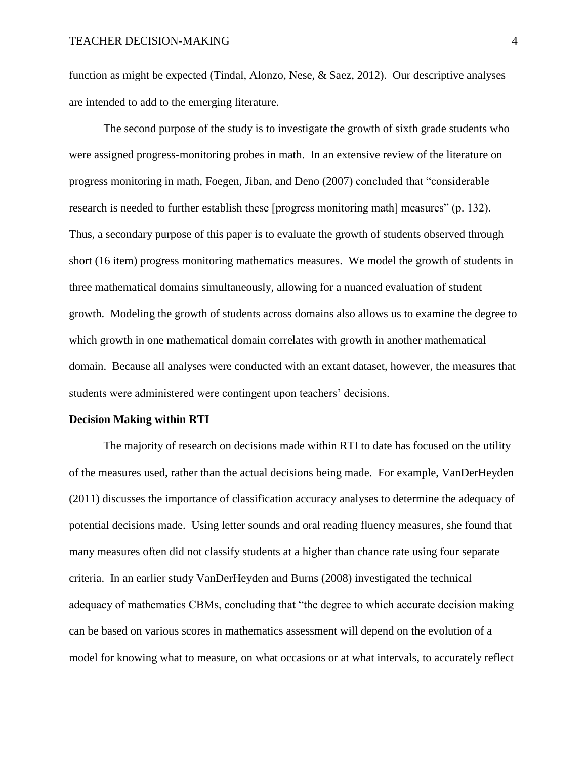function as might be expected (Tindal, Alonzo, Nese, & Saez, 2012). Our descriptive analyses are intended to add to the emerging literature.

The second purpose of the study is to investigate the growth of sixth grade students who were assigned progress-monitoring probes in math. In an extensive review of the literature on progress monitoring in math, Foegen, Jiban, and Deno (2007) concluded that "considerable research is needed to further establish these [progress monitoring math] measures" (p. 132). Thus, a secondary purpose of this paper is to evaluate the growth of students observed through short (16 item) progress monitoring mathematics measures. We model the growth of students in three mathematical domains simultaneously, allowing for a nuanced evaluation of student growth. Modeling the growth of students across domains also allows us to examine the degree to which growth in one mathematical domain correlates with growth in another mathematical domain. Because all analyses were conducted with an extant dataset, however, the measures that students were administered were contingent upon teachers' decisions.

#### **Decision Making within RTI**

The majority of research on decisions made within RTI to date has focused on the utility of the measures used, rather than the actual decisions being made. For example, VanDerHeyden (2011) discusses the importance of classification accuracy analyses to determine the adequacy of potential decisions made. Using letter sounds and oral reading fluency measures, she found that many measures often did not classify students at a higher than chance rate using four separate criteria. In an earlier study VanDerHeyden and Burns (2008) investigated the technical adequacy of mathematics CBMs, concluding that "the degree to which accurate decision making can be based on various scores in mathematics assessment will depend on the evolution of a model for knowing what to measure, on what occasions or at what intervals, to accurately reflect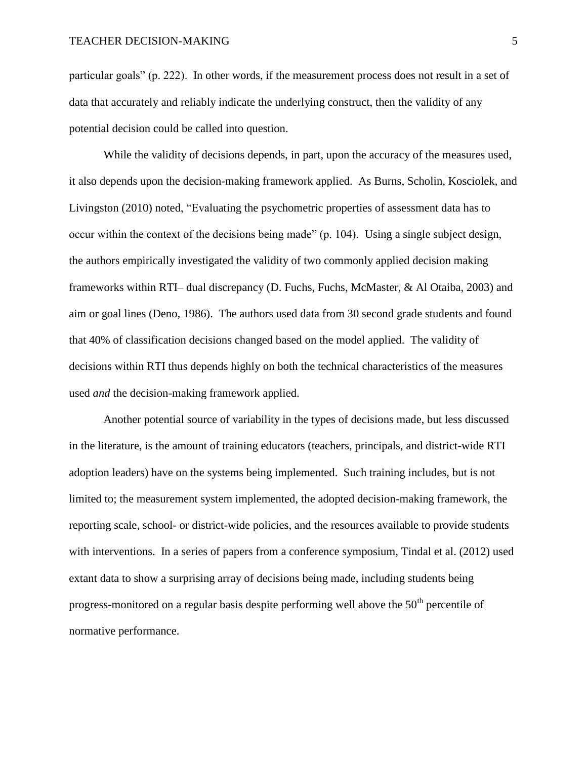particular goals" (p. 222). In other words, if the measurement process does not result in a set of data that accurately and reliably indicate the underlying construct, then the validity of any potential decision could be called into question.

While the validity of decisions depends, in part, upon the accuracy of the measures used, it also depends upon the decision-making framework applied. As Burns, Scholin, Kosciolek, and Livingston (2010) noted, "Evaluating the psychometric properties of assessment data has to occur within the context of the decisions being made" (p. 104). Using a single subject design, the authors empirically investigated the validity of two commonly applied decision making frameworks within RTI– dual discrepancy (D. Fuchs, Fuchs, McMaster, & Al Otaiba, 2003) and aim or goal lines (Deno, 1986). The authors used data from 30 second grade students and found that 40% of classification decisions changed based on the model applied. The validity of decisions within RTI thus depends highly on both the technical characteristics of the measures used *and* the decision-making framework applied.

Another potential source of variability in the types of decisions made, but less discussed in the literature, is the amount of training educators (teachers, principals, and district-wide RTI adoption leaders) have on the systems being implemented. Such training includes, but is not limited to; the measurement system implemented, the adopted decision-making framework, the reporting scale, school- or district-wide policies, and the resources available to provide students with interventions. In a series of papers from a conference symposium, Tindal et al. (2012) used extant data to show a surprising array of decisions being made, including students being progress-monitored on a regular basis despite performing well above the  $50<sup>th</sup>$  percentile of normative performance.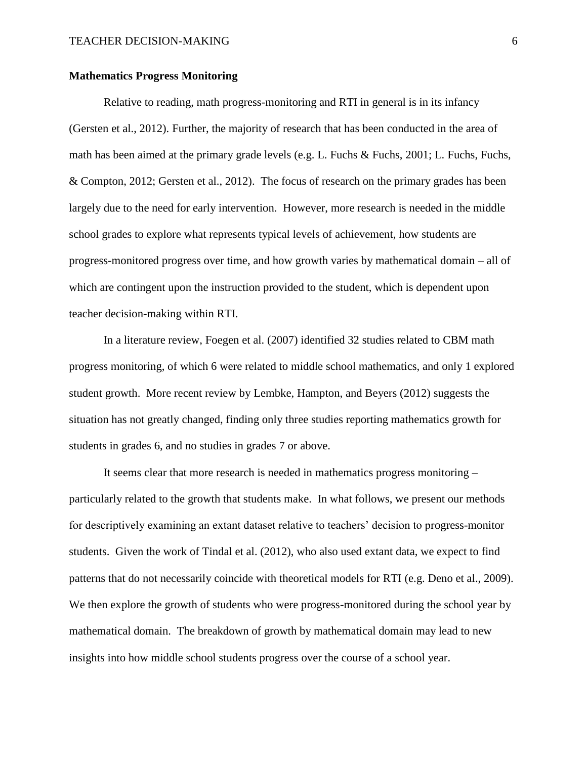### **Mathematics Progress Monitoring**

Relative to reading, math progress-monitoring and RTI in general is in its infancy (Gersten et al., 2012). Further, the majority of research that has been conducted in the area of math has been aimed at the primary grade levels (e.g. L. Fuchs & Fuchs, 2001; L. Fuchs, Fuchs, & Compton, 2012; Gersten et al., 2012). The focus of research on the primary grades has been largely due to the need for early intervention. However, more research is needed in the middle school grades to explore what represents typical levels of achievement, how students are progress-monitored progress over time, and how growth varies by mathematical domain – all of which are contingent upon the instruction provided to the student, which is dependent upon teacher decision-making within RTI.

In a literature review, Foegen et al. (2007) identified 32 studies related to CBM math progress monitoring, of which 6 were related to middle school mathematics, and only 1 explored student growth. More recent review by Lembke, Hampton, and Beyers (2012) suggests the situation has not greatly changed, finding only three studies reporting mathematics growth for students in grades 6, and no studies in grades 7 or above.

It seems clear that more research is needed in mathematics progress monitoring – particularly related to the growth that students make. In what follows, we present our methods for descriptively examining an extant dataset relative to teachers' decision to progress-monitor students. Given the work of Tindal et al. (2012), who also used extant data, we expect to find patterns that do not necessarily coincide with theoretical models for RTI (e.g. Deno et al., 2009). We then explore the growth of students who were progress-monitored during the school year by mathematical domain. The breakdown of growth by mathematical domain may lead to new insights into how middle school students progress over the course of a school year.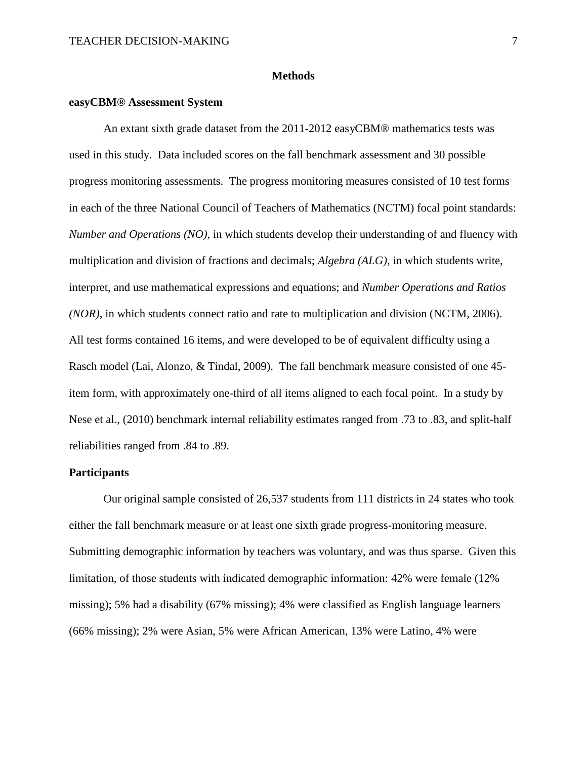#### **Methods**

### **easyCBM® Assessment System**

An extant sixth grade dataset from the 2011-2012 easyCBM® mathematics tests was used in this study. Data included scores on the fall benchmark assessment and 30 possible progress monitoring assessments. The progress monitoring measures consisted of 10 test forms in each of the three National Council of Teachers of Mathematics (NCTM) focal point standards: *Number and Operations (NO)*, in which students develop their understanding of and fluency with multiplication and division of fractions and decimals; *Algebra (ALG)*, in which students write, interpret, and use mathematical expressions and equations; and *Number Operations and Ratios (NOR),* in which students connect ratio and rate to multiplication and division (NCTM, 2006). All test forms contained 16 items, and were developed to be of equivalent difficulty using a Rasch model (Lai, Alonzo, & Tindal, 2009). The fall benchmark measure consisted of one 45 item form, with approximately one-third of all items aligned to each focal point. In a study by Nese et al., (2010) benchmark internal reliability estimates ranged from .73 to .83, and split-half reliabilities ranged from .84 to .89.

#### **Participants**

Our original sample consisted of 26,537 students from 111 districts in 24 states who took either the fall benchmark measure or at least one sixth grade progress-monitoring measure. Submitting demographic information by teachers was voluntary, and was thus sparse. Given this limitation, of those students with indicated demographic information: 42% were female (12% missing); 5% had a disability (67% missing); 4% were classified as English language learners (66% missing); 2% were Asian, 5% were African American, 13% were Latino, 4% were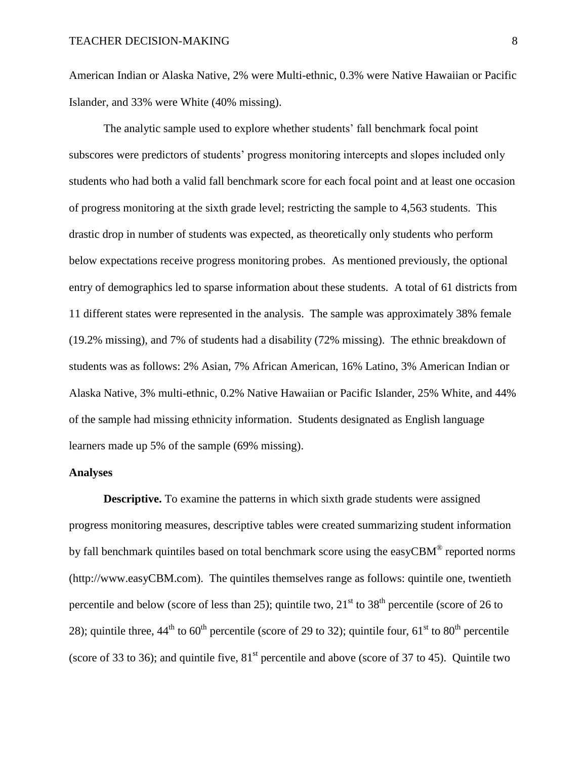American Indian or Alaska Native, 2% were Multi-ethnic, 0.3% were Native Hawaiian or Pacific Islander, and 33% were White (40% missing).

The analytic sample used to explore whether students' fall benchmark focal point subscores were predictors of students' progress monitoring intercepts and slopes included only students who had both a valid fall benchmark score for each focal point and at least one occasion of progress monitoring at the sixth grade level; restricting the sample to 4,563 students. This drastic drop in number of students was expected, as theoretically only students who perform below expectations receive progress monitoring probes. As mentioned previously, the optional entry of demographics led to sparse information about these students. A total of 61 districts from 11 different states were represented in the analysis. The sample was approximately 38% female (19.2% missing), and 7% of students had a disability (72% missing). The ethnic breakdown of students was as follows: 2% Asian, 7% African American, 16% Latino, 3% American Indian or Alaska Native, 3% multi-ethnic, 0.2% Native Hawaiian or Pacific Islander, 25% White, and 44% of the sample had missing ethnicity information. Students designated as English language learners made up 5% of the sample (69% missing).

## **Analyses**

**Descriptive.** To examine the patterns in which sixth grade students were assigned progress monitoring measures, descriptive tables were created summarizing student information by fall benchmark quintiles based on total benchmark score using the easyCBM $^{\circledR}$  reported norms (http://www.easyCBM.com). The quintiles themselves range as follows: quintile one, twentieth percentile and below (score of less than 25); quintile two,  $21<sup>st</sup>$  to  $38<sup>th</sup>$  percentile (score of 26 to 28); quintile three,  $44^{\text{th}}$  to  $60^{\text{th}}$  percentile (score of 29 to 32); quintile four,  $61^{\text{st}}$  to  $80^{\text{th}}$  percentile (score of 33 to 36); and quintile five,  $81<sup>st</sup>$  percentile and above (score of 37 to 45). Quintile two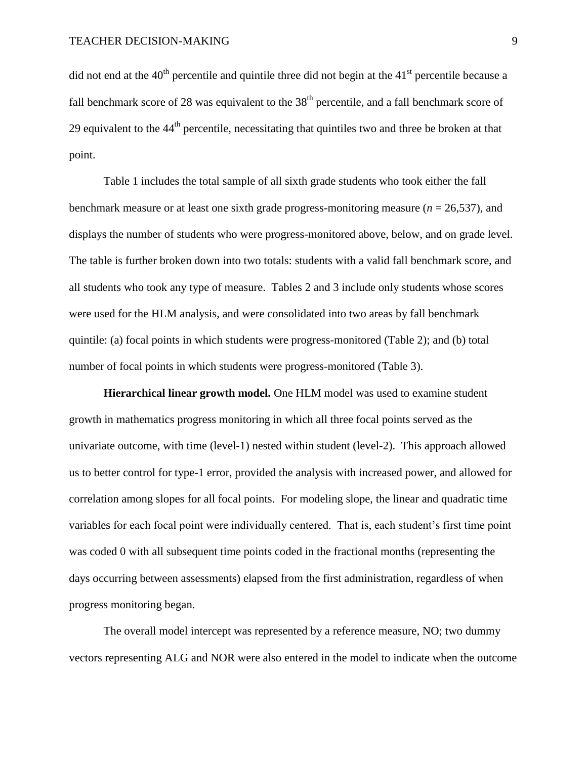did not end at the  $40<sup>th</sup>$  percentile and quintile three did not begin at the  $41<sup>st</sup>$  percentile because a fall benchmark score of 28 was equivalent to the  $38<sup>th</sup>$  percentile, and a fall benchmark score of 29 equivalent to the  $44<sup>th</sup>$  percentile, necessitating that quintiles two and three be broken at that point.

Table 1 includes the total sample of all sixth grade students who took either the fall benchmark measure or at least one sixth grade progress-monitoring measure (*n* = 26,537), and displays the number of students who were progress-monitored above, below, and on grade level. The table is further broken down into two totals: students with a valid fall benchmark score, and all students who took any type of measure. Tables 2 and 3 include only students whose scores were used for the HLM analysis, and were consolidated into two areas by fall benchmark quintile: (a) focal points in which students were progress-monitored (Table 2); and (b) total number of focal points in which students were progress-monitored (Table 3).

**Hierarchical linear growth model.** One HLM model was used to examine student growth in mathematics progress monitoring in which all three focal points served as the univariate outcome, with time (level-1) nested within student (level-2). This approach allowed us to better control for type-1 error, provided the analysis with increased power, and allowed for correlation among slopes for all focal points. For modeling slope, the linear and quadratic time variables for each focal point were individually centered. That is, each student's first time point was coded 0 with all subsequent time points coded in the fractional months (representing the days occurring between assessments) elapsed from the first administration, regardless of when progress monitoring began.

The overall model intercept was represented by a reference measure, NO; two dummy vectors representing ALG and NOR were also entered in the model to indicate when the outcome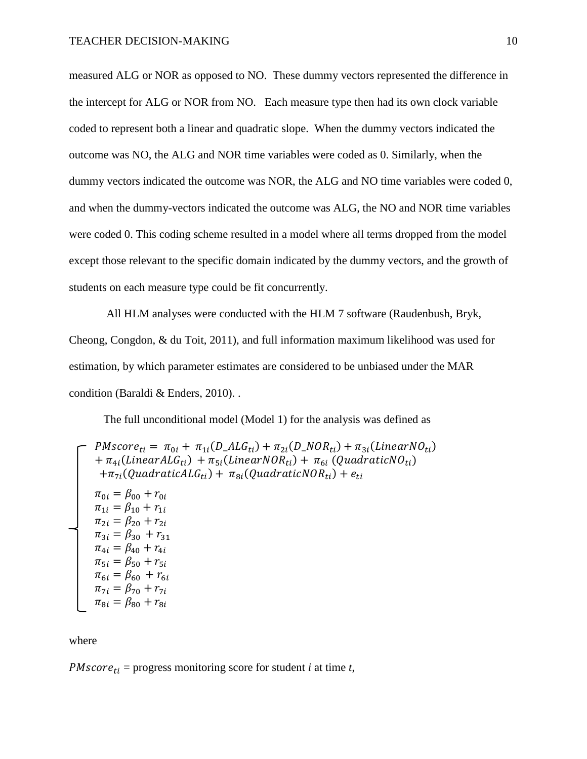measured ALG or NOR as opposed to NO. These dummy vectors represented the difference in the intercept for ALG or NOR from NO. Each measure type then had its own clock variable coded to represent both a linear and quadratic slope. When the dummy vectors indicated the outcome was NO, the ALG and NOR time variables were coded as 0. Similarly, when the dummy vectors indicated the outcome was NOR, the ALG and NO time variables were coded 0, and when the dummy-vectors indicated the outcome was ALG, the NO and NOR time variables were coded 0. This coding scheme resulted in a model where all terms dropped from the model except those relevant to the specific domain indicated by the dummy vectors, and the growth of students on each measure type could be fit concurrently.

All HLM analyses were conducted with the HLM 7 software (Raudenbush, Bryk, Cheong, Congdon, & du Toit, 2011), and full information maximum likelihood was used for estimation, by which parameter estimates are considered to be unbiased under the MAR condition (Baraldi & Enders, 2010). .

The full unconditional model (Model 1) for the analysis was defined as

$$
\begin{aligned}\n &\text{PMscore}_{ti} = \pi_{0i} + \pi_{1i}(D\_ALG_{ti}) + \pi_{2i}(D\_NOR_{ti}) + \pi_{3i}(LinearNO_{ti}) \\
 &+ \pi_{4i}(LinearALG_{ti}) + \pi_{5i}(LinearNOR_{ti}) + \pi_{6i}(QuadraticNO_{ti}) \\
 &+ \pi_{7i}(QuadraticALG_{ti}) + \pi_{8i}(QuadraticNOR_{ti}) + e_{ti} \\
 &\pi_{0i} = \beta_{00} + r_{0i} \\
 &\pi_{1i} = \beta_{10} + r_{1i} \\
 &\pi_{2i} = \beta_{20} + r_{2i} \\
 &\pi_{3i} = \beta_{30} + r_{31} \\
 &\pi_{4i} = \beta_{40} + r_{4i} \\
 &\pi_{5i} = \beta_{50} + r_{5i} \\
 &\pi_{6i} = \beta_{60} + r_{6i} \\
 &\pi_{7i} = \beta_{70} + r_{7i} \\
 &\pi_{8i} = \beta_{80} + r_{8i}\n \end{aligned}
$$

where

 $PMscore_{ti}$  = progress monitoring score for student *i* at time *t*,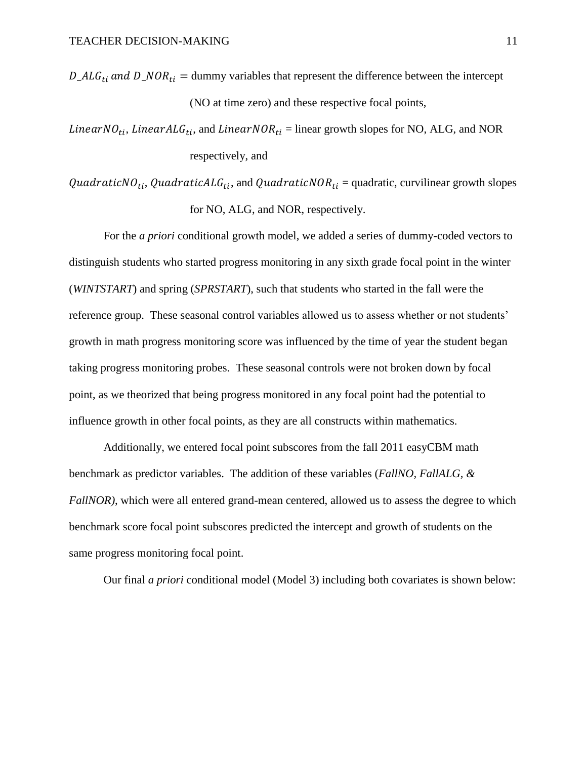$D\_ALG_{ti}$  and  $D\_NOR_{ti}$  = dummy variables that represent the difference between the intercept (NO at time zero) and these respective focal points,

Linear NO<sub>ti</sub>, Linear ALG<sub>ti</sub>, and Linear NOR<sub>ti</sub> = linear growth slopes for NO, ALG, and NOR respectively, and

QuadraticNO<sub>ti</sub>, QuadraticALG<sub>ti</sub>, and QuadraticNOR<sub>ti</sub> = quadratic, curvilinear growth slopes for NO, ALG, and NOR, respectively.

For the *a priori* conditional growth model, we added a series of dummy-coded vectors to distinguish students who started progress monitoring in any sixth grade focal point in the winter (*WINTSTART*) and spring (*SPRSTART*), such that students who started in the fall were the reference group. These seasonal control variables allowed us to assess whether or not students' growth in math progress monitoring score was influenced by the time of year the student began taking progress monitoring probes. These seasonal controls were not broken down by focal point, as we theorized that being progress monitored in any focal point had the potential to influence growth in other focal points, as they are all constructs within mathematics.

Additionally, we entered focal point subscores from the fall 2011 easyCBM math benchmark as predictor variables. The addition of these variables (*FallNO, FallALG, & FallNOR*), which were all entered grand-mean centered, allowed us to assess the degree to which benchmark score focal point subscores predicted the intercept and growth of students on the same progress monitoring focal point.

Our final *a priori* conditional model (Model 3) including both covariates is shown below: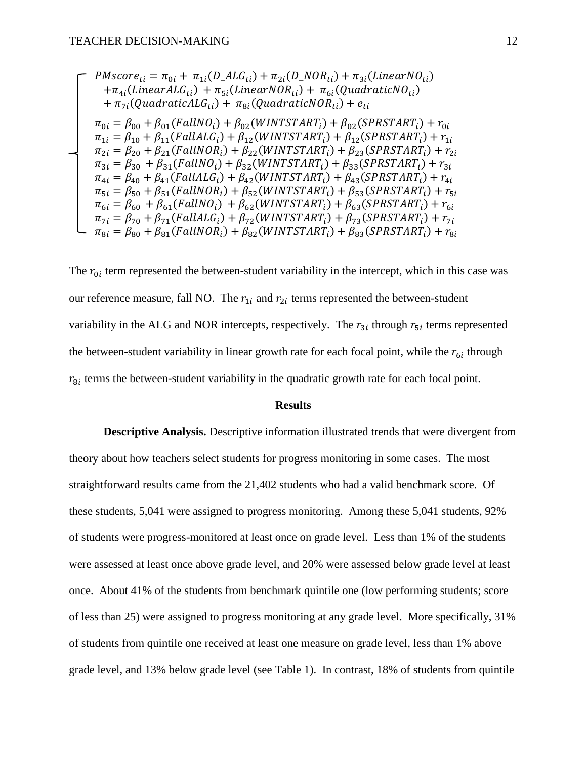$$
\pi_{1i} = \pi_{0i} + \pi_{1i}(D\_ALG_{ti}) + \pi_{2i}(D\_NOR_{ti}) + \pi_{3i}(LinearNO_{ti})
$$
\n
$$
+ \pi_{4i}(LinearALG_{ti}) + \pi_{5i}(LinearNOR_{ti}) + \pi_{6i}(QuadraticNO_{ti})
$$
\n
$$
+ \pi_{7i}(QuadraticALG_{ti}) + \pi_{8i}(QuadraticNOR_{ti}) + e_{ti}
$$
\n
$$
\pi_{0i} = \beta_{00} + \beta_{01}(FallNO_i) + \beta_{02}(WINTSTART_i) + \beta_{02}(SPRSTART_i) + r_{0i}
$$
\n
$$
\pi_{1i} = \beta_{10} + \beta_{11}(FallMO_i) + \beta_{12}(WINTSTART_i) + \beta_{12}(SPRSTART_i) + r_{1i}
$$
\n
$$
\pi_{2i} = \beta_{20} + \beta_{21}(FallNOR_i) + \beta_{22}(WINTSTART_i) + \beta_{23}(SPRSTART_i) + r_{2i}
$$
\n
$$
\pi_{3i} = \beta_{30} + \beta_{31}(FallNO_i) + \beta_{32}(WINTSTART_i) + \beta_{33}(SPRSTART_i) + r_{3i}
$$
\n
$$
\pi_{4i} = \beta_{40} + \beta_{41}(FallMO_i) + \beta_{42}(WINTSTART_i) + \beta_{43}(SPRSTART_i) + r_{3i}
$$
\n
$$
\pi_{5i} = \beta_{50} + \beta_{51}(FallNOR_i) + \beta_{52}(WINTSTART_i) + \beta_{53}(SPRSTART_i) + r_{5i}
$$
\n
$$
\pi_{6i} = \beta_{60} + \beta_{61}(FallNO_i) + \beta_{62}(WINTSTART_i) + \beta_{63}(SPRSTART_i) + r_{6i}
$$
\n
$$
\pi_{7i} = \beta_{70} + \beta_{71}(FallAlG_i) + \beta_{72}(WINTSTART_i) + \beta_{73}(SPRSTART_i) + r_{7i}
$$
\n
$$
\pi_{8i} = \beta_{80} + \beta_{81}(FallNOR_i) + \beta_{82}(WINTSTART_i) + \beta_{83}(SPRSTART_i) + r_{8i}
$$

The  $r_{0i}$  term represented the between-student variability in the intercept, which in this case was our reference measure, fall NO. The  $r_{1i}$  and  $r_{2i}$  terms represented the between-student variability in the ALG and NOR intercepts, respectively. The  $r_{3i}$  through  $r_{5i}$  terms represented the between-student variability in linear growth rate for each focal point, while the  $r_{6i}$  through  $r_{\text{B}i}$  terms the between-student variability in the quadratic growth rate for each focal point.

### **Results**

**Descriptive Analysis.** Descriptive information illustrated trends that were divergent from theory about how teachers select students for progress monitoring in some cases. The most straightforward results came from the 21,402 students who had a valid benchmark score. Of these students, 5,041 were assigned to progress monitoring. Among these 5,041 students, 92% of students were progress-monitored at least once on grade level. Less than 1% of the students were assessed at least once above grade level, and 20% were assessed below grade level at least once. About 41% of the students from benchmark quintile one (low performing students; score of less than 25) were assigned to progress monitoring at any grade level. More specifically, 31% of students from quintile one received at least one measure on grade level, less than 1% above grade level, and 13% below grade level (see Table 1). In contrast, 18% of students from quintile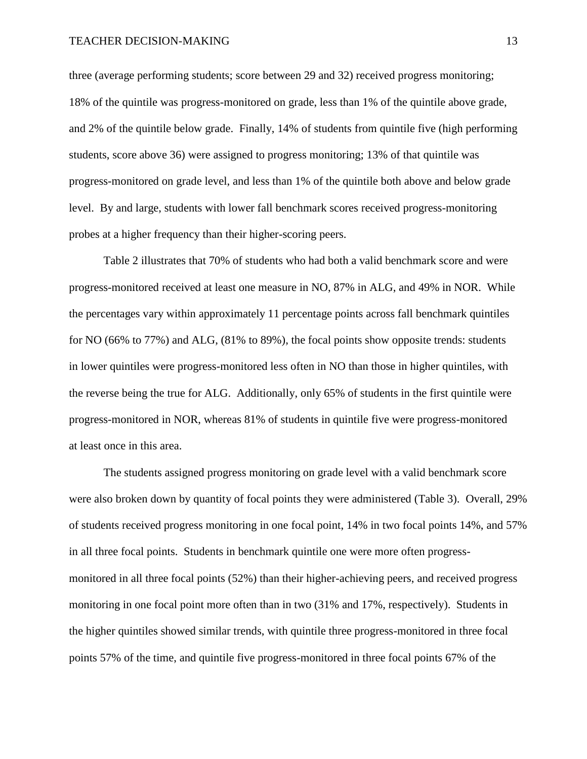three (average performing students; score between 29 and 32) received progress monitoring; 18% of the quintile was progress-monitored on grade, less than 1% of the quintile above grade, and 2% of the quintile below grade. Finally, 14% of students from quintile five (high performing students, score above 36) were assigned to progress monitoring; 13% of that quintile was progress-monitored on grade level, and less than 1% of the quintile both above and below grade level. By and large, students with lower fall benchmark scores received progress-monitoring probes at a higher frequency than their higher-scoring peers.

Table 2 illustrates that 70% of students who had both a valid benchmark score and were progress-monitored received at least one measure in NO, 87% in ALG, and 49% in NOR. While the percentages vary within approximately 11 percentage points across fall benchmark quintiles for NO (66% to 77%) and ALG, (81% to 89%), the focal points show opposite trends: students in lower quintiles were progress-monitored less often in NO than those in higher quintiles, with the reverse being the true for ALG. Additionally, only 65% of students in the first quintile were progress-monitored in NOR, whereas 81% of students in quintile five were progress-monitored at least once in this area.

The students assigned progress monitoring on grade level with a valid benchmark score were also broken down by quantity of focal points they were administered (Table 3). Overall, 29% of students received progress monitoring in one focal point, 14% in two focal points 14%, and 57% in all three focal points. Students in benchmark quintile one were more often progressmonitored in all three focal points (52%) than their higher-achieving peers, and received progress monitoring in one focal point more often than in two (31% and 17%, respectively). Students in the higher quintiles showed similar trends, with quintile three progress-monitored in three focal points 57% of the time, and quintile five progress-monitored in three focal points 67% of the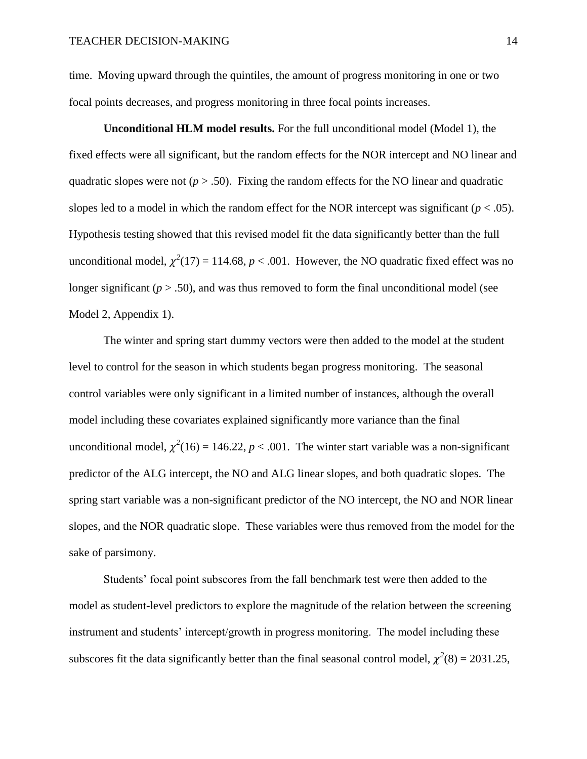time. Moving upward through the quintiles, the amount of progress monitoring in one or two focal points decreases, and progress monitoring in three focal points increases.

**Unconditional HLM model results.** For the full unconditional model (Model 1), the fixed effects were all significant, but the random effects for the NOR intercept and NO linear and quadratic slopes were not  $(p > .50)$ . Fixing the random effects for the NO linear and quadratic slopes led to a model in which the random effect for the NOR intercept was significant ( $p < .05$ ). Hypothesis testing showed that this revised model fit the data significantly better than the full unconditional model,  $\chi^2(17) = 114.68$ ,  $p < .001$ . However, the NO quadratic fixed effect was no longer significant ( $p > .50$ ), and was thus removed to form the final unconditional model (see Model 2, Appendix 1).

The winter and spring start dummy vectors were then added to the model at the student level to control for the season in which students began progress monitoring. The seasonal control variables were only significant in a limited number of instances, although the overall model including these covariates explained significantly more variance than the final unconditional model,  $\chi^2(16) = 146.22$ ,  $p < .001$ . The winter start variable was a non-significant predictor of the ALG intercept, the NO and ALG linear slopes, and both quadratic slopes. The spring start variable was a non-significant predictor of the NO intercept, the NO and NOR linear slopes, and the NOR quadratic slope. These variables were thus removed from the model for the sake of parsimony.

Students' focal point subscores from the fall benchmark test were then added to the model as student-level predictors to explore the magnitude of the relation between the screening instrument and students' intercept/growth in progress monitoring. The model including these subscores fit the data significantly better than the final seasonal control model,  $\chi^2(8) = 2031.25$ ,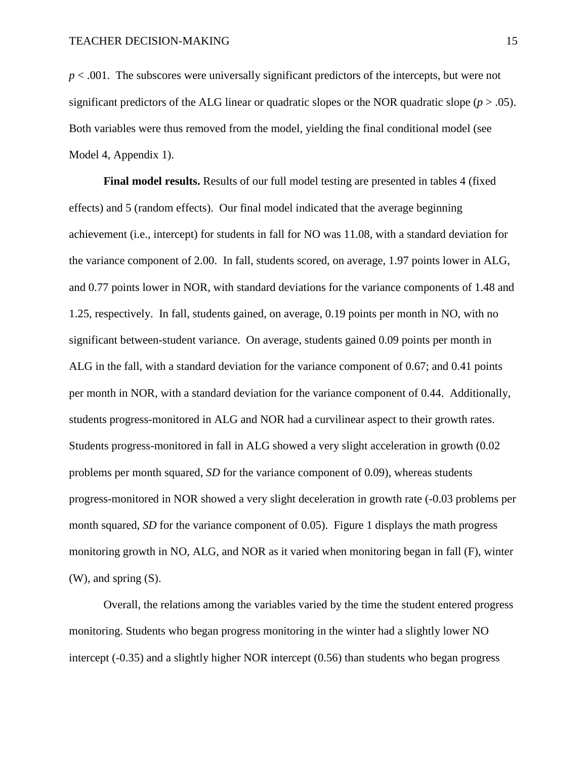*p* < .001. The subscores were universally significant predictors of the intercepts, but were not significant predictors of the ALG linear or quadratic slopes or the NOR quadratic slope  $(p > .05)$ . Both variables were thus removed from the model, yielding the final conditional model (see Model 4, Appendix 1).

**Final model results.** Results of our full model testing are presented in tables 4 (fixed effects) and 5 (random effects). Our final model indicated that the average beginning achievement (i.e., intercept) for students in fall for NO was 11.08, with a standard deviation for the variance component of 2.00. In fall, students scored, on average, 1.97 points lower in ALG, and 0.77 points lower in NOR, with standard deviations for the variance components of 1.48 and 1.25, respectively. In fall, students gained, on average, 0.19 points per month in NO, with no significant between-student variance. On average, students gained 0.09 points per month in ALG in the fall, with a standard deviation for the variance component of 0.67; and 0.41 points per month in NOR, with a standard deviation for the variance component of 0.44. Additionally, students progress-monitored in ALG and NOR had a curvilinear aspect to their growth rates. Students progress-monitored in fall in ALG showed a very slight acceleration in growth (0.02 problems per month squared, *SD* for the variance component of 0.09), whereas students progress-monitored in NOR showed a very slight deceleration in growth rate (-0.03 problems per month squared, *SD* for the variance component of 0.05). Figure 1 displays the math progress monitoring growth in NO, ALG, and NOR as it varied when monitoring began in fall (F), winter (W), and spring (S).

Overall, the relations among the variables varied by the time the student entered progress monitoring. Students who began progress monitoring in the winter had a slightly lower NO intercept (-0.35) and a slightly higher NOR intercept (0.56) than students who began progress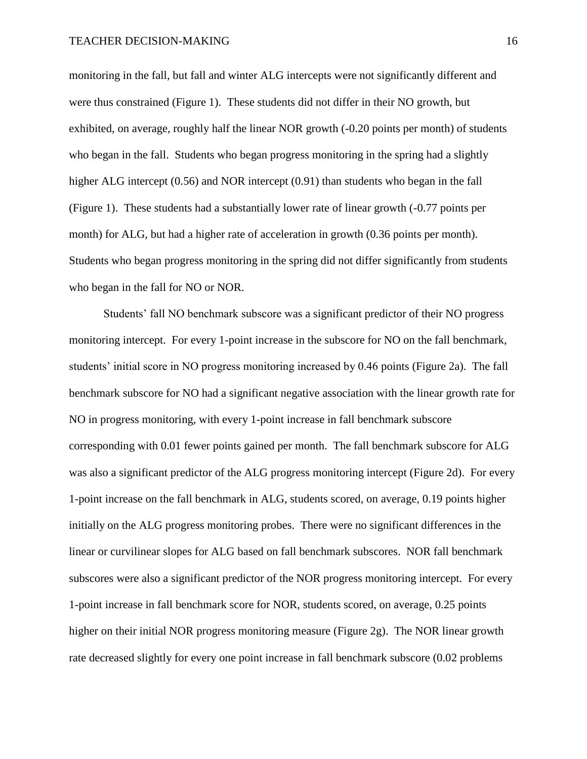monitoring in the fall, but fall and winter ALG intercepts were not significantly different and were thus constrained (Figure 1). These students did not differ in their NO growth, but exhibited, on average, roughly half the linear NOR growth (-0.20 points per month) of students who began in the fall. Students who began progress monitoring in the spring had a slightly higher ALG intercept (0.56) and NOR intercept (0.91) than students who began in the fall (Figure 1). These students had a substantially lower rate of linear growth (-0.77 points per month) for ALG, but had a higher rate of acceleration in growth (0.36 points per month). Students who began progress monitoring in the spring did not differ significantly from students who began in the fall for NO or NOR.

Students' fall NO benchmark subscore was a significant predictor of their NO progress monitoring intercept. For every 1-point increase in the subscore for NO on the fall benchmark, students' initial score in NO progress monitoring increased by 0.46 points (Figure 2a). The fall benchmark subscore for NO had a significant negative association with the linear growth rate for NO in progress monitoring, with every 1-point increase in fall benchmark subscore corresponding with 0.01 fewer points gained per month. The fall benchmark subscore for ALG was also a significant predictor of the ALG progress monitoring intercept (Figure 2d). For every 1-point increase on the fall benchmark in ALG, students scored, on average, 0.19 points higher initially on the ALG progress monitoring probes. There were no significant differences in the linear or curvilinear slopes for ALG based on fall benchmark subscores. NOR fall benchmark subscores were also a significant predictor of the NOR progress monitoring intercept. For every 1-point increase in fall benchmark score for NOR, students scored, on average, 0.25 points higher on their initial NOR progress monitoring measure (Figure 2g). The NOR linear growth rate decreased slightly for every one point increase in fall benchmark subscore (0.02 problems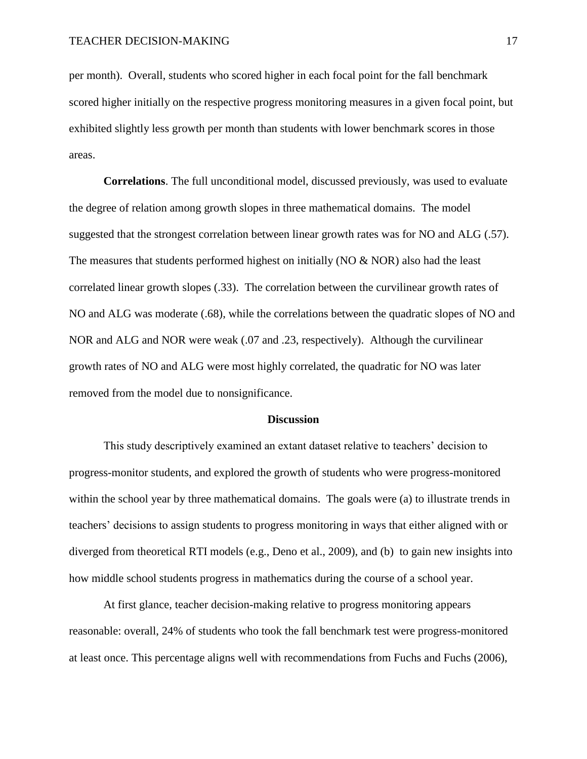per month). Overall, students who scored higher in each focal point for the fall benchmark scored higher initially on the respective progress monitoring measures in a given focal point, but exhibited slightly less growth per month than students with lower benchmark scores in those areas.

**Correlations**. The full unconditional model, discussed previously, was used to evaluate the degree of relation among growth slopes in three mathematical domains. The model suggested that the strongest correlation between linear growth rates was for NO and ALG (.57). The measures that students performed highest on initially ( $NO \& NOR$ ) also had the least correlated linear growth slopes (.33). The correlation between the curvilinear growth rates of NO and ALG was moderate (.68), while the correlations between the quadratic slopes of NO and NOR and ALG and NOR were weak (.07 and .23, respectively). Although the curvilinear growth rates of NO and ALG were most highly correlated, the quadratic for NO was later removed from the model due to nonsignificance.

#### **Discussion**

This study descriptively examined an extant dataset relative to teachers' decision to progress-monitor students, and explored the growth of students who were progress-monitored within the school year by three mathematical domains. The goals were (a) to illustrate trends in teachers' decisions to assign students to progress monitoring in ways that either aligned with or diverged from theoretical RTI models (e.g., Deno et al., 2009), and (b) to gain new insights into how middle school students progress in mathematics during the course of a school year.

At first glance, teacher decision-making relative to progress monitoring appears reasonable: overall, 24% of students who took the fall benchmark test were progress-monitored at least once. This percentage aligns well with recommendations from Fuchs and Fuchs (2006),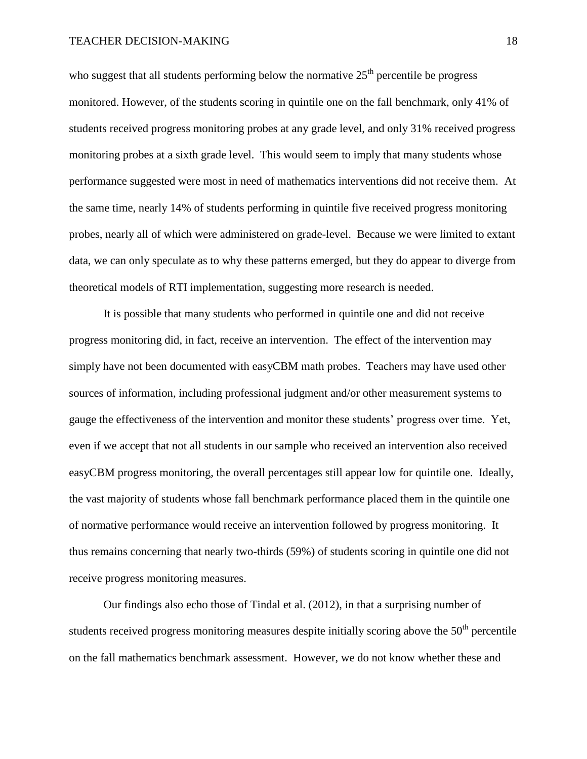who suggest that all students performing below the normative  $25<sup>th</sup>$  percentile be progress monitored. However, of the students scoring in quintile one on the fall benchmark, only 41% of students received progress monitoring probes at any grade level, and only 31% received progress monitoring probes at a sixth grade level. This would seem to imply that many students whose performance suggested were most in need of mathematics interventions did not receive them. At the same time, nearly 14% of students performing in quintile five received progress monitoring probes, nearly all of which were administered on grade-level. Because we were limited to extant data, we can only speculate as to why these patterns emerged, but they do appear to diverge from theoretical models of RTI implementation, suggesting more research is needed.

It is possible that many students who performed in quintile one and did not receive progress monitoring did, in fact, receive an intervention. The effect of the intervention may simply have not been documented with easyCBM math probes. Teachers may have used other sources of information, including professional judgment and/or other measurement systems to gauge the effectiveness of the intervention and monitor these students' progress over time. Yet, even if we accept that not all students in our sample who received an intervention also received easyCBM progress monitoring, the overall percentages still appear low for quintile one. Ideally, the vast majority of students whose fall benchmark performance placed them in the quintile one of normative performance would receive an intervention followed by progress monitoring. It thus remains concerning that nearly two-thirds (59%) of students scoring in quintile one did not receive progress monitoring measures.

Our findings also echo those of Tindal et al. (2012), in that a surprising number of students received progress monitoring measures despite initially scoring above the  $50<sup>th</sup>$  percentile on the fall mathematics benchmark assessment. However, we do not know whether these and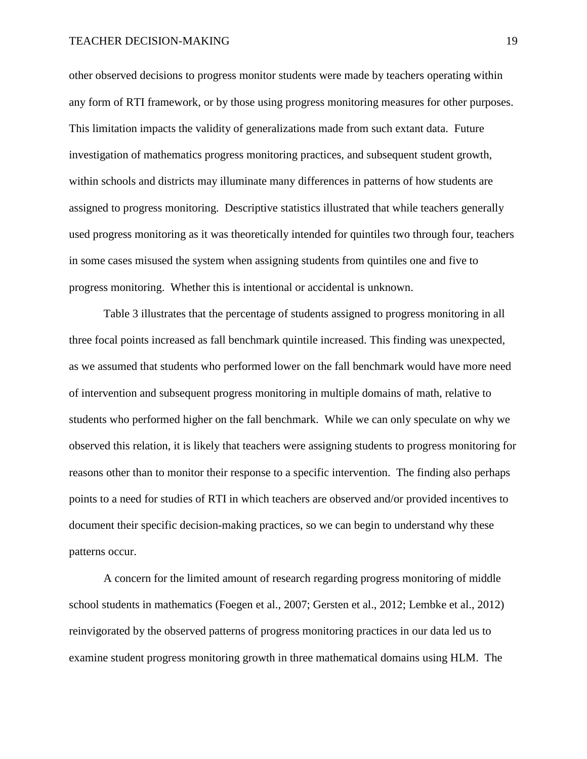other observed decisions to progress monitor students were made by teachers operating within any form of RTI framework, or by those using progress monitoring measures for other purposes. This limitation impacts the validity of generalizations made from such extant data. Future investigation of mathematics progress monitoring practices, and subsequent student growth, within schools and districts may illuminate many differences in patterns of how students are assigned to progress monitoring. Descriptive statistics illustrated that while teachers generally used progress monitoring as it was theoretically intended for quintiles two through four, teachers in some cases misused the system when assigning students from quintiles one and five to progress monitoring. Whether this is intentional or accidental is unknown.

Table 3 illustrates that the percentage of students assigned to progress monitoring in all three focal points increased as fall benchmark quintile increased. This finding was unexpected, as we assumed that students who performed lower on the fall benchmark would have more need of intervention and subsequent progress monitoring in multiple domains of math, relative to students who performed higher on the fall benchmark. While we can only speculate on why we observed this relation, it is likely that teachers were assigning students to progress monitoring for reasons other than to monitor their response to a specific intervention. The finding also perhaps points to a need for studies of RTI in which teachers are observed and/or provided incentives to document their specific decision-making practices, so we can begin to understand why these patterns occur.

A concern for the limited amount of research regarding progress monitoring of middle school students in mathematics (Foegen et al., 2007; Gersten et al., 2012; Lembke et al., 2012) reinvigorated by the observed patterns of progress monitoring practices in our data led us to examine student progress monitoring growth in three mathematical domains using HLM. The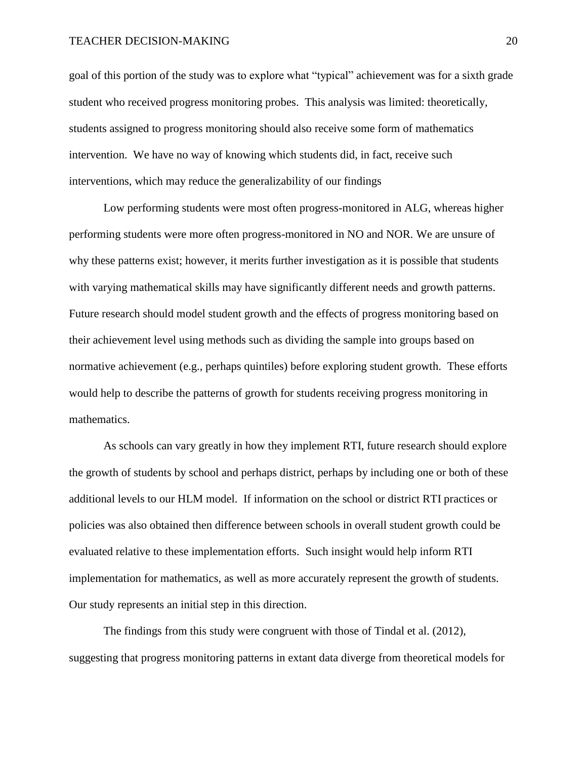goal of this portion of the study was to explore what "typical" achievement was for a sixth grade student who received progress monitoring probes. This analysis was limited: theoretically, students assigned to progress monitoring should also receive some form of mathematics intervention. We have no way of knowing which students did, in fact, receive such interventions, which may reduce the generalizability of our findings

Low performing students were most often progress-monitored in ALG, whereas higher performing students were more often progress-monitored in NO and NOR. We are unsure of why these patterns exist; however, it merits further investigation as it is possible that students with varying mathematical skills may have significantly different needs and growth patterns. Future research should model student growth and the effects of progress monitoring based on their achievement level using methods such as dividing the sample into groups based on normative achievement (e.g., perhaps quintiles) before exploring student growth. These efforts would help to describe the patterns of growth for students receiving progress monitoring in mathematics.

As schools can vary greatly in how they implement RTI, future research should explore the growth of students by school and perhaps district, perhaps by including one or both of these additional levels to our HLM model. If information on the school or district RTI practices or policies was also obtained then difference between schools in overall student growth could be evaluated relative to these implementation efforts. Such insight would help inform RTI implementation for mathematics, as well as more accurately represent the growth of students. Our study represents an initial step in this direction.

The findings from this study were congruent with those of Tindal et al. (2012), suggesting that progress monitoring patterns in extant data diverge from theoretical models for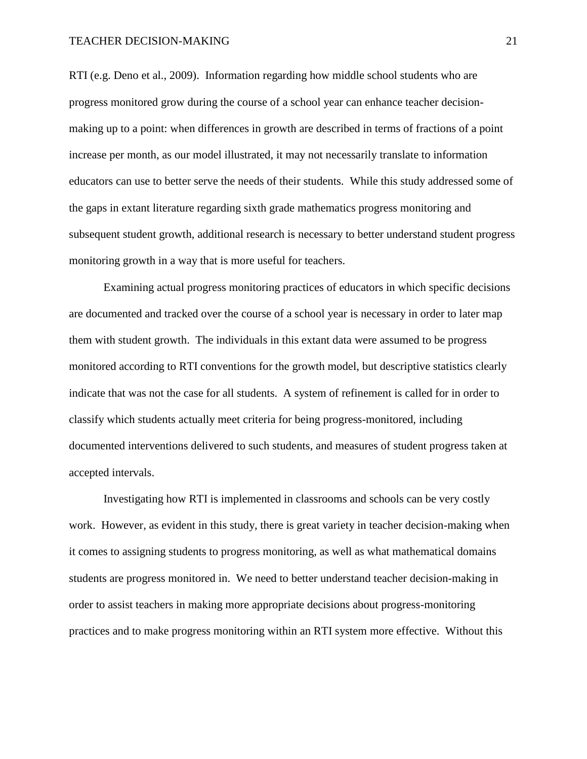RTI (e.g. Deno et al., 2009). Information regarding how middle school students who are progress monitored grow during the course of a school year can enhance teacher decisionmaking up to a point: when differences in growth are described in terms of fractions of a point increase per month, as our model illustrated, it may not necessarily translate to information educators can use to better serve the needs of their students. While this study addressed some of the gaps in extant literature regarding sixth grade mathematics progress monitoring and subsequent student growth, additional research is necessary to better understand student progress monitoring growth in a way that is more useful for teachers.

Examining actual progress monitoring practices of educators in which specific decisions are documented and tracked over the course of a school year is necessary in order to later map them with student growth. The individuals in this extant data were assumed to be progress monitored according to RTI conventions for the growth model, but descriptive statistics clearly indicate that was not the case for all students. A system of refinement is called for in order to classify which students actually meet criteria for being progress-monitored, including documented interventions delivered to such students, and measures of student progress taken at accepted intervals.

Investigating how RTI is implemented in classrooms and schools can be very costly work. However, as evident in this study, there is great variety in teacher decision-making when it comes to assigning students to progress monitoring, as well as what mathematical domains students are progress monitored in. We need to better understand teacher decision-making in order to assist teachers in making more appropriate decisions about progress-monitoring practices and to make progress monitoring within an RTI system more effective. Without this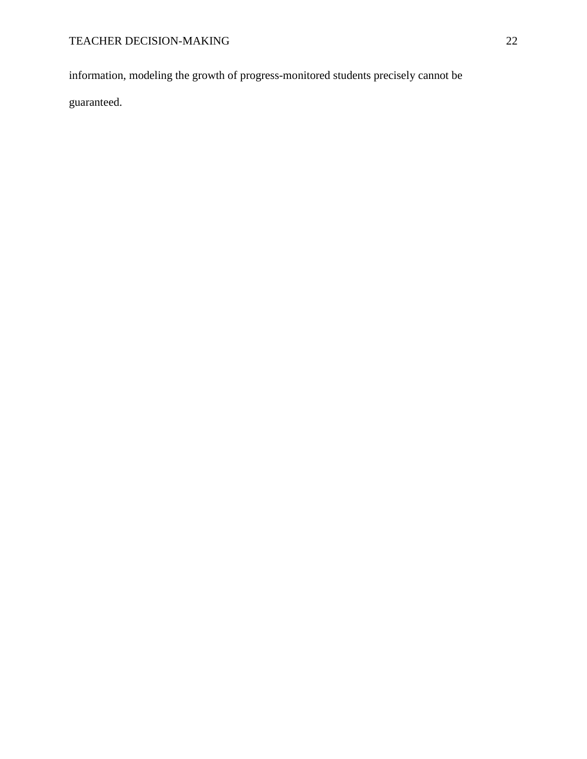information, modeling the growth of progress-monitored students precisely cannot be

guaranteed.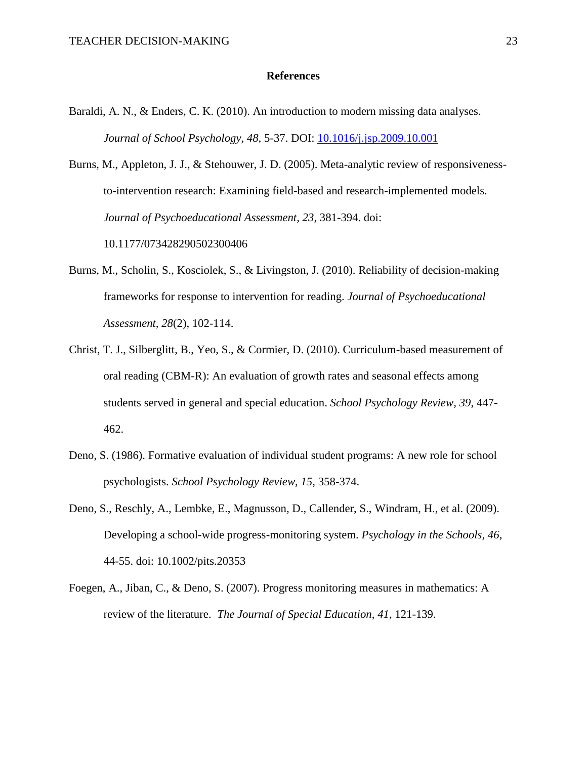### **References**

Baraldi, A. N., & Enders, C. K. (2010). An introduction to modern missing data analyses. *Journal of School Psychology, 48,* 5-37. DOI: [10.1016/j.jsp.2009.10.001](http://psycnet.apa.org/doi/10.1016/j.jsp.2009.10.001)

Burns, M., Appleton, J. J., & Stehouwer, J. D. (2005). Meta-analytic review of responsivenessto-intervention research: Examining field-based and research-implemented models. *Journal of Psychoeducational Assessment, 23*, 381-394. doi: 10.1177/073428290502300406

- Burns, M., Scholin, S., Kosciolek, S., & Livingston, J. (2010). Reliability of decision-making frameworks for response to intervention for reading. *Journal of Psychoeducational Assessment, 28*(2), 102-114.
- Christ, T. J., Silberglitt, B., Yeo, S., & Cormier, D. (2010). Curriculum-based measurement of oral reading (CBM-R): An evaluation of growth rates and seasonal effects among students served in general and special education. *School Psychology Review, 39*, 447- 462.
- Deno, S. (1986). Formative evaluation of individual student programs: A new role for school psychologists. *School Psychology Review, 15*, 358-374.
- Deno, S., Reschly, A., Lembke, E., Magnusson, D., Callender, S., Windram, H., et al. (2009). Developing a school-wide progress-monitoring system. *Psychology in the Schools, 46*, 44-55. doi: 10.1002/pits.20353
- Foegen, A., Jiban, C., & Deno, S. (2007). Progress monitoring measures in mathematics: A review of the literature. *The Journal of Special Education*, *41*, 121-139.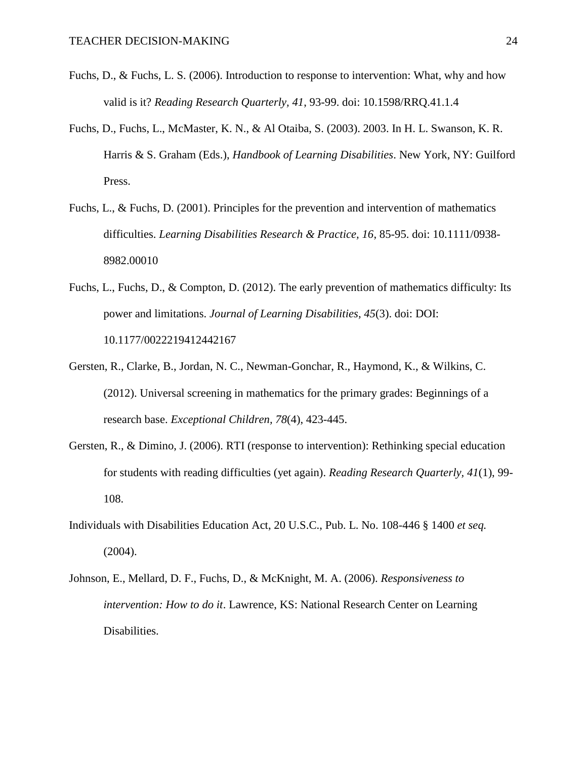- Fuchs, D., & Fuchs, L. S. (2006). Introduction to response to intervention: What, why and how valid is it? *Reading Research Quarterly, 41*, 93-99. doi: 10.1598/RRQ.41.1.4
- Fuchs, D., Fuchs, L., McMaster, K. N., & Al Otaiba, S. (2003). 2003. In H. L. Swanson, K. R. Harris & S. Graham (Eds.), *Handbook of Learning Disabilities*. New York, NY: Guilford Press.
- Fuchs, L., & Fuchs, D. (2001). Principles for the prevention and intervention of mathematics difficulties. *Learning Disabilities Research & Practice, 16*, 85-95. doi: 10.1111/0938- 8982.00010
- Fuchs, L., Fuchs, D., & Compton, D. (2012). The early prevention of mathematics difficulty: Its power and limitations. *Journal of Learning Disabilities, 45*(3). doi: DOI: 10.1177/0022219412442167
- Gersten, R., Clarke, B., Jordan, N. C., Newman-Gonchar, R., Haymond, K., & Wilkins, C. (2012). Universal screening in mathematics for the primary grades: Beginnings of a research base. *Exceptional Children, 78*(4), 423-445.
- Gersten, R., & Dimino, J. (2006). RTI (response to intervention): Rethinking special education for students with reading difficulties (yet again). *Reading Research Quarterly, 41*(1), 99- 108.
- Individuals with Disabilities Education Act, 20 U.S.C., Pub. L. No. 108-446 § 1400 *et seq.* (2004).
- Johnson, E., Mellard, D. F., Fuchs, D., & McKnight, M. A. (2006). *Responsiveness to intervention: How to do it*. Lawrence, KS: National Research Center on Learning Disabilities.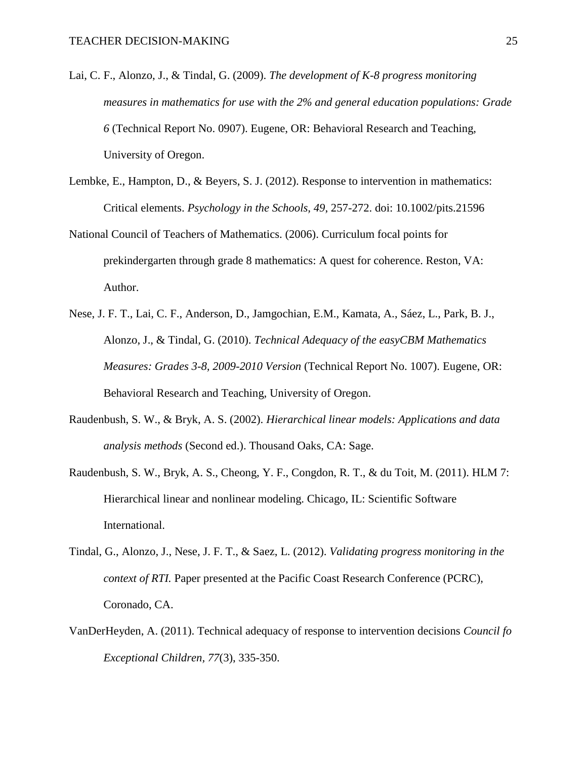- Lai, C. F., Alonzo, J., & Tindal, G. (2009). *The development of K-8 progress monitoring measures in mathematics for use with the 2% and general education populations: Grade 6* (Technical Report No. 0907). Eugene, OR: Behavioral Research and Teaching, University of Oregon.
- Lembke, E., Hampton, D., & Beyers, S. J. (2012). Response to intervention in mathematics: Critical elements. *Psychology in the Schools, 49*, 257-272. doi: 10.1002/pits.21596
- National Council of Teachers of Mathematics. (2006). Curriculum focal points for prekindergarten through grade 8 mathematics: A quest for coherence. Reston, VA: Author.
- Nese, J. F. T., Lai, C. F., Anderson, D., Jamgochian, E.M., Kamata, A., Sáez, L., Park, B. J., Alonzo, J., & Tindal, G. (2010). *Technical Adequacy of the easyCBM Mathematics Measures: Grades 3-8, 2009-2010 Version* (Technical Report No. 1007). Eugene, OR: Behavioral Research and Teaching, University of Oregon.
- Raudenbush, S. W., & Bryk, A. S. (2002). *Hierarchical linear models: Applications and data analysis methods* (Second ed.). Thousand Oaks, CA: Sage.
- Raudenbush, S. W., Bryk, A. S., Cheong, Y. F., Congdon, R. T., & du Toit, M. (2011). HLM 7: Hierarchical linear and nonlinear modeling. Chicago, IL: Scientific Software International.
- Tindal, G., Alonzo, J., Nese, J. F. T., & Saez, L. (2012). *Validating progress monitoring in the context of RTI.* Paper presented at the Pacific Coast Research Conference (PCRC), Coronado, CA.
- VanDerHeyden, A. (2011). Technical adequacy of response to intervention decisions *Council fo Exceptional Children, 77*(3), 335-350.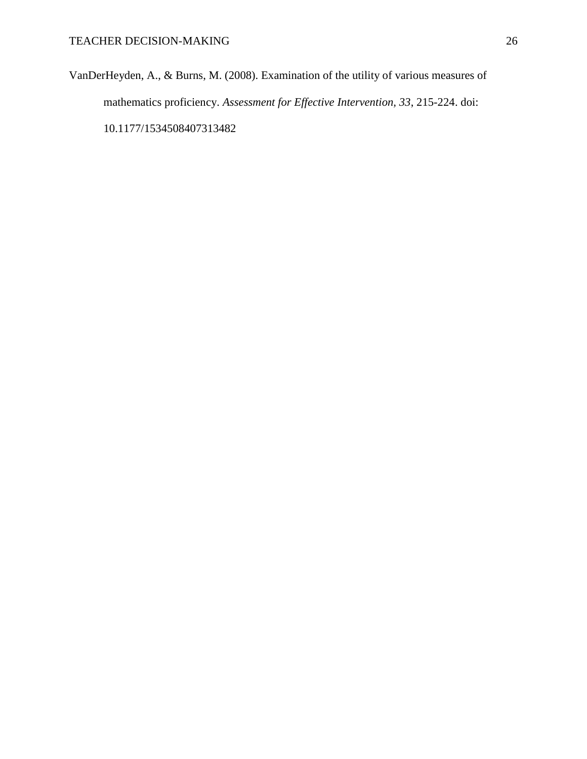VanDerHeyden, A., & Burns, M. (2008). Examination of the utility of various measures of mathematics proficiency. *Assessment for Effective Intervention, 33*, 215-224. doi: 10.1177/1534508407313482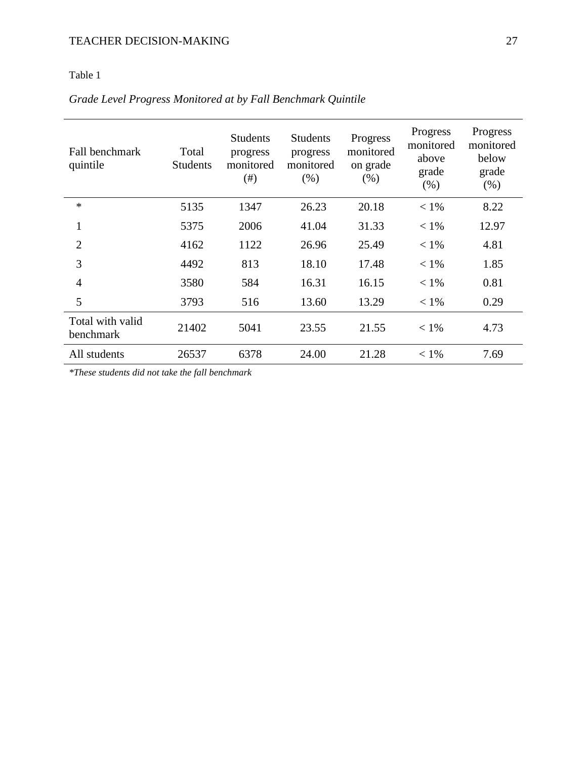# Table 1

# *Grade Level Progress Monitored at by Fall Benchmark Quintile*

| Fall benchmark<br>quintile    | Total<br><b>Students</b> | <b>Students</b><br>progress<br>monitored<br>(# ) | <b>Students</b><br>progress<br>monitored<br>(% ) | Progress<br>monitored<br>on grade<br>(% ) | Progress<br>monitored<br>above<br>grade<br>(% ) | Progress<br>monitored<br>below<br>grade<br>(% ) |
|-------------------------------|--------------------------|--------------------------------------------------|--------------------------------------------------|-------------------------------------------|-------------------------------------------------|-------------------------------------------------|
| $\ast$                        | 5135                     | 1347                                             | 26.23                                            | 20.18                                     | $< 1\%$                                         | 8.22                                            |
| $\mathbf{1}$                  | 5375                     | 2006                                             | 41.04                                            | 31.33                                     | $< 1\%$                                         | 12.97                                           |
| $\overline{2}$                | 4162                     | 1122                                             | 26.96                                            | 25.49                                     | $< 1\%$                                         | 4.81                                            |
| 3                             | 4492                     | 813                                              | 18.10                                            | 17.48                                     | $< 1\%$                                         | 1.85                                            |
| $\overline{4}$                | 3580                     | 584                                              | 16.31                                            | 16.15                                     | $< 1\%$                                         | 0.81                                            |
| 5                             | 3793                     | 516                                              | 13.60                                            | 13.29                                     | $< 1\%$                                         | 0.29                                            |
| Total with valid<br>benchmark | 21402                    | 5041                                             | 23.55                                            | 21.55                                     | $< 1\%$                                         | 4.73                                            |
| All students                  | 26537                    | 6378                                             | 24.00                                            | 21.28                                     | $< 1\%$                                         | 7.69                                            |

*\*These students did not take the fall benchmark*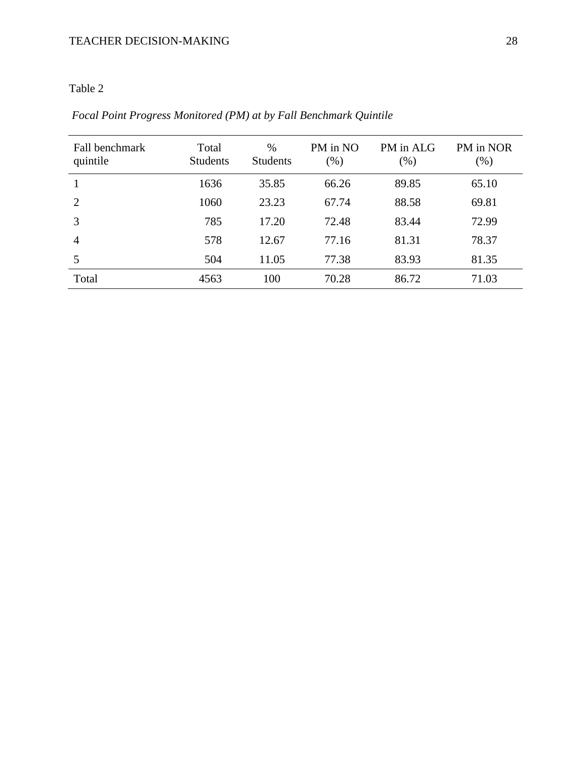# Table 2

| Fall benchmark<br>quintile | Total<br><b>Students</b> | $\%$<br><b>Students</b> | PM in NO<br>$(\% )$ | PM in ALG<br>$(\% )$ | PM in NOR<br>$(\%)$ |
|----------------------------|--------------------------|-------------------------|---------------------|----------------------|---------------------|
|                            | 1636                     | 35.85                   | 66.26               | 89.85                | 65.10               |
| 2                          | 1060                     | 23.23                   | 67.74               | 88.58                | 69.81               |
| 3                          | 785                      | 17.20                   | 72.48               | 83.44                | 72.99               |
| 4                          | 578                      | 12.67                   | 77.16               | 81.31                | 78.37               |
| 5                          | 504                      | 11.05                   | 77.38               | 83.93                | 81.35               |
| Total                      | 4563                     | 100                     | 70.28               | 86.72                | 71.03               |

*Focal Point Progress Monitored (PM) at by Fall Benchmark Quintile*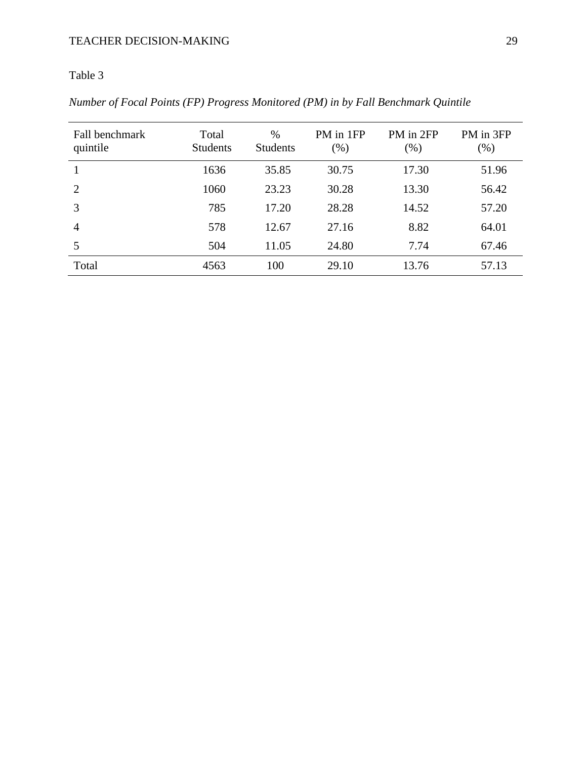# Table 3

*Number of Focal Points (FP) Progress Monitored (PM) in by Fall Benchmark Quintile*

| Fall benchmark<br>quintile | Total<br><b>Students</b> | %<br><b>Students</b> | PM in 1FP<br>$(\%)$ | PM in 2FP<br>$(\% )$ | PM in 3FP<br>$(\%)$ |
|----------------------------|--------------------------|----------------------|---------------------|----------------------|---------------------|
|                            | 1636                     | 35.85                | 30.75               | 17.30                | 51.96               |
| $\overline{2}$             | 1060                     | 23.23                | 30.28               | 13.30                | 56.42               |
| 3                          | 785                      | 17.20                | 28.28               | 14.52                | 57.20               |
| $\overline{4}$             | 578                      | 12.67                | 27.16               | 8.82                 | 64.01               |
| 5                          | 504                      | 11.05                | 24.80               | 7.74                 | 67.46               |
| Total                      | 4563                     | 100                  | 29.10               | 13.76                | 57.13               |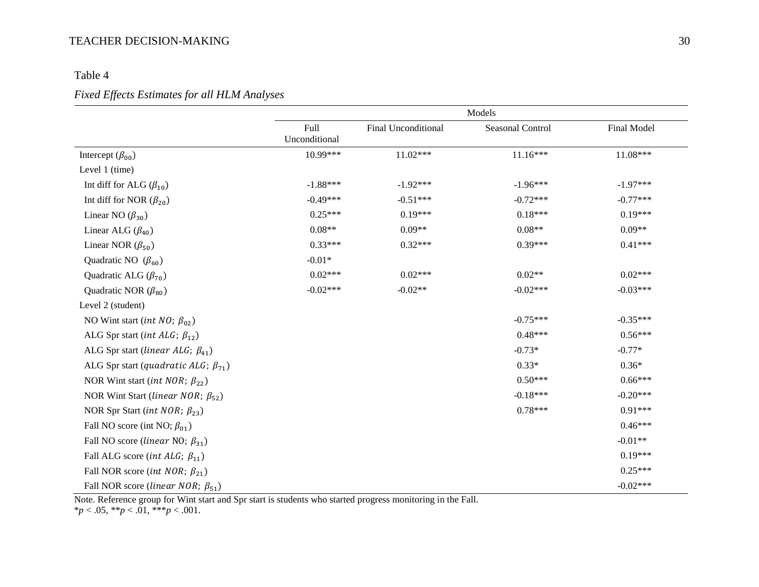# Table 4

## *Fixed Effects Estimates for all HLM Analyses*

|                                                  |                              | Models              |                         |             |  |
|--------------------------------------------------|------------------------------|---------------------|-------------------------|-------------|--|
|                                                  | <b>Full</b><br>Unconditional | Final Unconditional | <b>Seasonal Control</b> | Final Model |  |
| Intercept $(\beta_{00})$                         | 10.99***                     | $11.02***$          | $11.16***$              | 11.08***    |  |
| Level 1 (time)                                   |                              |                     |                         |             |  |
| Int diff for ALG $(\beta_{10})$                  | $-1.88***$                   | $-1.92***$          | $-1.96***$              | $-1.97***$  |  |
| Int diff for NOR $(\beta_{20})$                  | $-0.49***$                   | $-0.51***$          | $-0.72***$              | $-0.77***$  |  |
| Linear NO $(\beta_{30})$                         | $0.25***$                    | $0.19***$           | $0.18***$               | $0.19***$   |  |
| Linear ALG $(\beta_{40})$                        | $0.08**$                     | $0.09**$            | $0.08**$                | $0.09**$    |  |
| Linear NOR $(\beta_{50})$                        | $0.33***$                    | $0.32***$           | $0.39***$               | $0.41***$   |  |
| Quadratic NO $(\beta_{60})$                      | $-0.01*$                     |                     |                         |             |  |
| Quadratic ALG $(\beta_{70})$                     | $0.02***$                    | $0.02***$           | $0.02**$                | $0.02***$   |  |
| Quadratic NOR $(\beta_{80})$                     | $-0.02***$                   | $-0.02**$           | $-0.02***$              | $-0.03***$  |  |
| Level 2 (student)                                |                              |                     |                         |             |  |
| NO Wint start ( <i>int NO</i> ; $\beta_{02}$ )   |                              |                     | $-0.75***$              | $-0.35***$  |  |
| ALG Spr start ( <i>int ALG</i> ; $\beta_{12}$ )  |                              |                     | $0.48***$               | $0.56***$   |  |
| ALG Spr start (linear ALG; $\beta_{41}$ )        |                              |                     | $-0.73*$                | $-0.77*$    |  |
| ALG Spr start (quadratic ALG; $\beta_{71}$ )     |                              |                     | $0.33*$                 | $0.36*$     |  |
| NOR Wint start (int NOR; $\beta_{22}$ )          |                              |                     | $0.50***$               | $0.66***$   |  |
| NOR Wint Start (linear NOR; $\beta_{52}$ )       |                              |                     | $-0.18***$              | $-0.20***$  |  |
| NOR Spr Start ( <i>int NOR</i> ; $\beta_{23}$ )  |                              |                     | $0.78***$               | $0.91***$   |  |
| Fall NO score (int NO; $\beta_{01}$ )            |                              |                     |                         | $0.46***$   |  |
| Fall NO score ( <i>linear</i> NO; $\beta_{31}$ ) |                              |                     |                         | $-0.01**$   |  |
| Fall ALG score ( <i>int ALG</i> ; $\beta_{11}$ ) |                              |                     |                         | $0.19***$   |  |
| Fall NOR score ( <i>int NOR</i> ; $\beta_{21}$ ) |                              |                     |                         | $0.25***$   |  |
| Fall NOR score (linear NOR; $\beta_{51}$ )       |                              |                     |                         | $-0.02***$  |  |

Note. Reference group for Wint start and Spr start is students who started progress monitoring in the Fall.

 $**p* < .05, ***p* < .01, ***p* < .001.$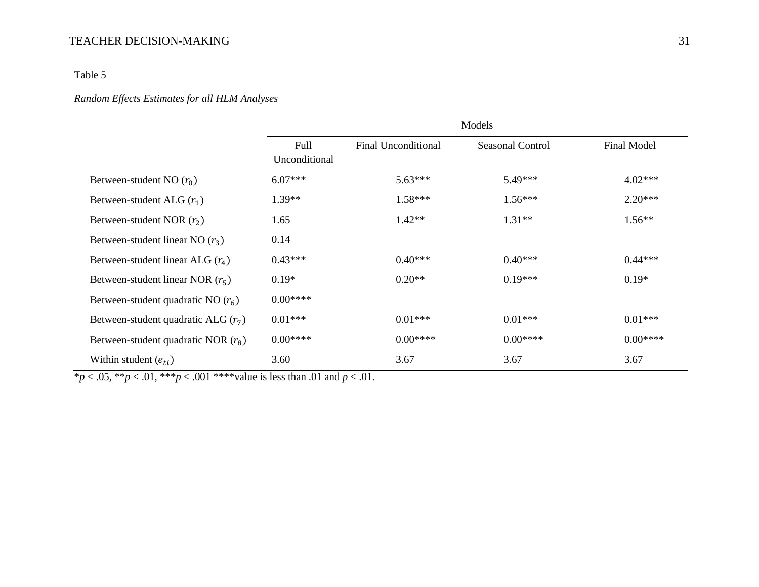## Table 5

## *Random Effects Estimates for all HLM Analyses*

|                                       | Models                |                            |                  |                    |  |
|---------------------------------------|-----------------------|----------------------------|------------------|--------------------|--|
|                                       | Full<br>Unconditional | <b>Final Unconditional</b> | Seasonal Control | <b>Final Model</b> |  |
| Between-student NO $(r_0)$            | $6.07***$             | $5.63***$                  | $5.49***$        | $4.02***$          |  |
| Between-student ALG $(r_1)$           | $1.39**$              | $1.58***$                  | $1.56***$        | $2.20***$          |  |
| Between-student NOR $(r_2)$           | 1.65                  | $1.42**$                   | $1.31**$         | $1.56**$           |  |
| Between-student linear NO $(r_3)$     | 0.14                  |                            |                  |                    |  |
| Between-student linear ALG $(r_4)$    | $0.43***$             | $0.40***$                  | $0.40***$        | $0.44***$          |  |
| Between-student linear NOR $(r_5)$    | $0.19*$               | $0.20**$                   | $0.19***$        | $0.19*$            |  |
| Between-student quadratic NO $(r_6)$  | $0.00***$             |                            |                  |                    |  |
| Between-student quadratic ALG $(r_7)$ | $0.01***$             | $0.01***$                  | $0.01***$        | $0.01***$          |  |
| Between-student quadratic NOR $(r_8)$ | $0.00***$             | $0.00***$                  | $0.00***$        | $0.00***$          |  |
| Within student $(e_{ti})$             | 3.60                  | 3.67                       | 3.67             | 3.67               |  |

 $*p < .05, **p < .01, ***p < .001$  \*\*\*\*value is less than .01 and  $p < .01$ .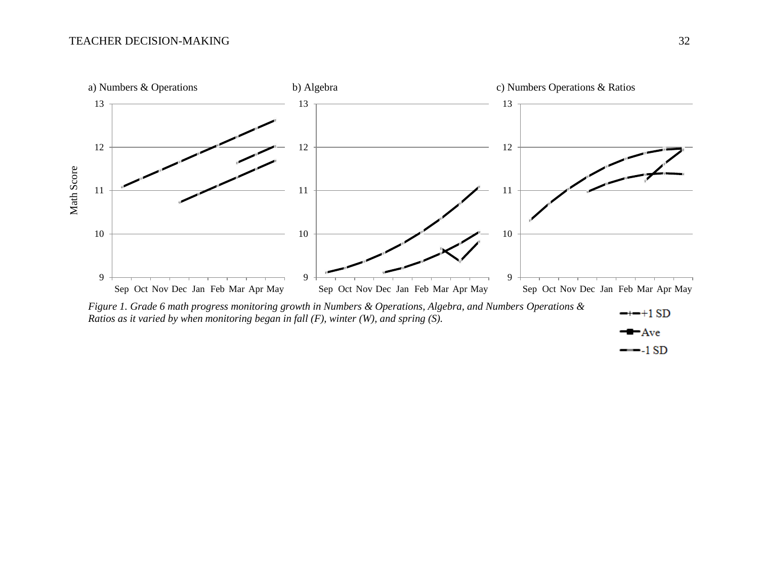

$$
\blacksquare \text{Ave}
$$

 $-1SD$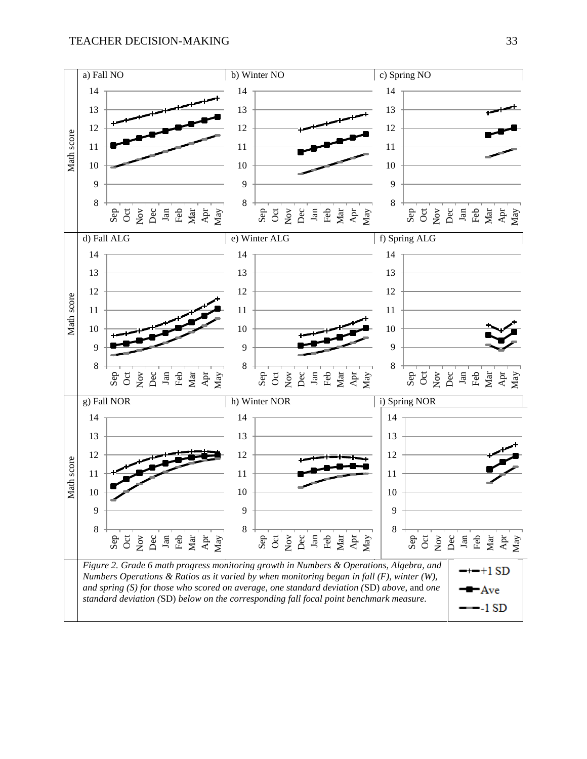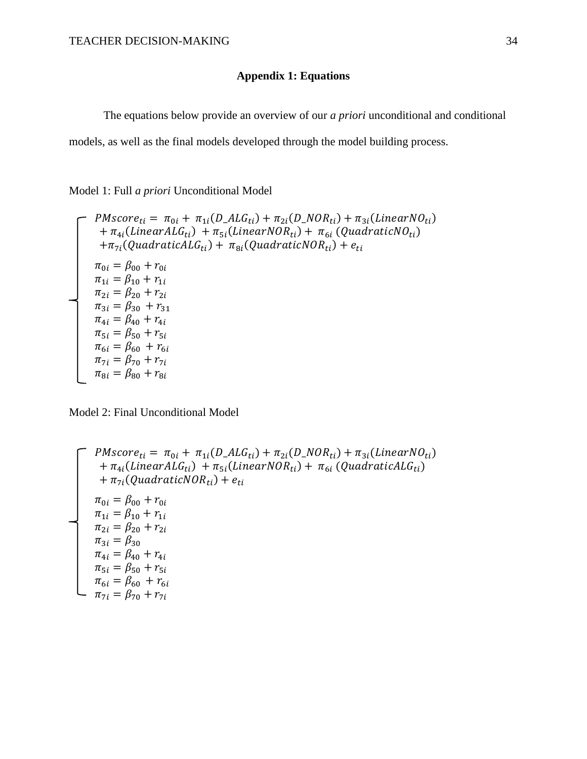# **Appendix 1: Equations**

The equations below provide an overview of our *a priori* unconditional and conditional

models, as well as the final models developed through the model building process.

Model 1: Full *a priori* Unconditional Model

$$
PMscore_{ti} = \pi_{0i} + \pi_{1i}(D\_ALG_{ti}) + \pi_{2i}(D\_NOR_{ti}) + \pi_{3i}(LinearNO_{ti})
$$
  
+  $\pi_{4i}(LinearALG_{ti}) + \pi_{5i}(LinearNOR_{ti}) + \pi_{6i} (QuadraticNO_{ti})$   
+  $\pi_{7i}(QuadraticALG_{ti}) + \pi_{8i}(QuadraticNOR_{ti}) + e_{ti}$   
 $\pi_{0i} = \beta_{00} + r_{0i}$   
 $\pi_{1i} = \beta_{10} + r_{1i}$   
 $\pi_{2i} = \beta_{20} + r_{2i}$   
 $\pi_{3i} = \beta_{30} + r_{31}$   
 $\pi_{4i} = \beta_{40} + r_{4i}$   
 $\pi_{5i} = \beta_{50} + r_{5i}$   
 $\pi_{6i} = \beta_{60} + r_{6i}$   
 $\pi_{7i} = \beta_{70} + r_{7i}$   
 $\pi_{8i} = \beta_{80} + r_{8i}$ 

Model 2: Final Unconditional Model

$$
\begin{aligned}\n &\text{P}Mscore_{ti} = \pi_{0i} + \pi_{1i}(D\_ALG_{ti}) + \pi_{2i}(D\_NOR_{ti}) + \pi_{3i}(LinearNO_{ti}) \\
 &+ \pi_{4i}(LinearALG_{ti}) + \pi_{5i}(LinearNOR_{ti}) + \pi_{6i}(QuadraticALG_{ti}) \\
 &+ \pi_{7i}(QuadraticNOR_{ti}) + e_{ti} \\
 &\pi_{0i} = \beta_{00} + r_{0i} \\
 &\pi_{1i} = \beta_{10} + r_{1i} \\
 &\pi_{2i} = \beta_{20} + r_{2i} \\
 &\pi_{3i} = \beta_{30} \\
 &\pi_{4i} = \beta_{40} + r_{4i} \\
 &\pi_{5i} = \beta_{50} + r_{5i} \\
 &\pi_{6i} = \beta_{60} + r_{6i} \\
 &\pi_{7i} = \beta_{70} + r_{7i}\n \end{aligned}
$$